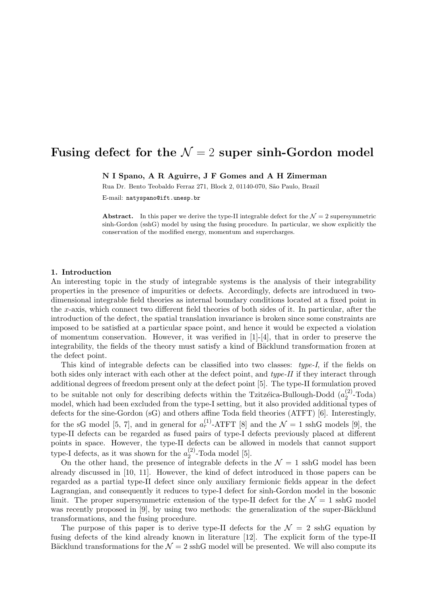# Fusing defect for the  $\mathcal{N} = 2$  super sinh-Gordon model

N I Spano, A R Aguirre, J F Gomes and A H Zimerman

Rua Dr. Bento Teobaldo Ferraz 271, Block 2, 01140-070, São Paulo, Brazil

E-mail: natyspano@ift.unesp.br

Abstract. In this paper we derive the type-II integrable defect for the  $\mathcal{N}=2$  supersymmetric sinh-Gordon (sshG) model by using the fusing procedure. In particular, we show explicitly the conservation of the modified energy, momentum and supercharges.

### 1. Introduction

An interesting topic in the study of integrable systems is the analysis of their integrability properties in the presence of impurities or defects. Accordingly, defects are introduced in twodimensional integrable field theories as internal boundary conditions located at a fixed point in the x-axis, which connect two different field theories of both sides of it. In particular, after the introduction of the defect, the spatial translation invariance is broken since some constraints are imposed to be satisfied at a particular space point, and hence it would be expected a violation of momentum conservation. However, it was verified in  $[1]-[4]$ , that in order to preserve the integrability, the fields of the theory must satisfy a kind of Bäcklund transformation frozen at the defect point.

This kind of integrable defects can be classified into two classes: type-I, if the fields on both sides only interact with each other at the defect point, and type-II if they interact through additional degrees of freedom present only at the defect point [5]. The type-II formulation proved to be suitable not only for describing defects within the Tzitzeica-Bullough-Dodd  $(a_2^{(2)}$  $_{2}^{(2)}$ -Toda) model, which had been excluded from the type-I setting, but it also provided additional types of defects for the sine-Gordon (sG) and others affine Toda field theories (ATFT) [6]. Interestingly, for the sG model [5, 7], and in general for  $a_r^{(1)}$ -ATFT [8] and the  $\mathcal{N}=1$  sshG models [9], the type-II defects can be regarded as fused pairs of type-I defects previously placed at different points in space. However, the type-II defects can be allowed in models that cannot support type-I defects, as it was shown for the  $a_2^{(2)}$  $_2^{(2)}$ -Toda model [5].

On the other hand, the presence of integrable defects in the  $\mathcal{N}=1$  ssh $G$  model has been already discussed in [10, 11]. However, the kind of defect introduced in those papers can be regarded as a partial type-II defect since only auxiliary fermionic fields appear in the defect Lagrangian, and consequently it reduces to type-I defect for sinh-Gordon model in the bosonic limit. The proper supersymmetric extension of the type-II defect for the  $\mathcal{N} = 1$  sshG model was recently proposed in  $[9]$ , by using two methods: the generalization of the super-Bäcklund transformations, and the fusing procedure.

The purpose of this paper is to derive type-II defects for the  $\mathcal{N} = 2$  sshG equation by fusing defects of the kind already known in literature [12]. The explicit form of the type-II Bäcklund transformations for the  $\mathcal{N} = 2$  sshG model will be presented. We will also compute its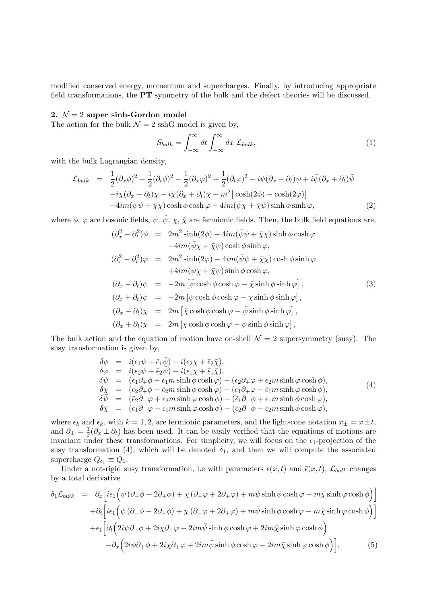modified conserved energy, momentum and supercharges. Finally, by introducing appropriate field transformations, the PT symmetry of the bulk and the defect theories will be discussed.

## 2.  $\mathcal{N}=2$  super sinh-Gordon model

The action for the bulk  $\mathcal{N} = 2$  sshG model is given by,

$$
S_{bulk} = \int_{-\infty}^{\infty} dt \int_{-\infty}^{\infty} dx \ \mathcal{L}_{bulk}, \tag{1}
$$

with the bulk Lagrangian density,

$$
\mathcal{L}_{bulk} = \frac{1}{2} (\partial_x \phi)^2 - \frac{1}{2} (\partial_t \phi)^2 - \frac{1}{2} (\partial_x \phi)^2 + \frac{1}{2} (\partial_t \phi)^2 - i \psi (\partial_x - \partial_t) \psi + i \bar{\psi} (\partial_x + \partial_t) \bar{\psi} \n+ i \chi (\partial_x - \partial_t) \chi - i \bar{\chi} (\partial_x + \partial_t) \bar{\chi} + m^2 \left[ \cosh(2\phi) - \cosh(2\phi) \right] \n+ 4im(\bar{\psi}\psi + \bar{\chi}\chi) \cosh\phi \cosh\phi - 4im(\bar{\psi}\chi + \bar{\chi}\psi) \sinh\phi \sinh\phi,
$$
\n(2)

where  $\phi$ ,  $\varphi$  are bosonic fields,  $\psi$ ,  $\bar{\psi}$ ,  $\chi$ ,  $\bar{\chi}$  are fermionic fields. Then, the bulk field equations are,

$$
(\partial_x^2 - \partial_t^2)\phi = 2m^2 \sinh(2\phi) + 4im(\bar{\psi}\psi + \bar{\chi}\chi) \sinh\phi \cosh\varphi \n-4im(\bar{\psi}\chi + \bar{\chi}\psi) \cosh\phi \sinh\varphi,
$$
\n
$$
(\partial_x^2 - \partial_t^2)\varphi = 2m^2 \sinh(2\varphi) - 4im(\bar{\psi}\psi + \bar{\chi}\chi) \cosh\phi \sinh\varphi \n+4im(\bar{\psi}\chi + \bar{\chi}\psi) \sinh\phi \cosh\varphi,
$$
\n
$$
(\partial_x - \partial_t)\psi = -2m[\bar{\psi}\cosh\phi \cosh\varphi - \bar{\chi}\sinh\phi \sinh\varphi],
$$
\n
$$
(\partial_x + \partial_t)\bar{\psi} = -2m[\psi\cosh\phi \cosh\varphi - \chi\sinh\phi \sinh\varphi],
$$
\n
$$
(\partial_x - \partial_t)\chi = 2m[\bar{\chi}\cosh\phi \cosh\varphi - \bar{\psi}\sinh\phi \sinh\varphi],
$$
\n
$$
(\partial_x + \partial_t)\bar{\chi} = 2m[\chi\cosh\phi \cosh\varphi - \psi \sinh\phi \sinh\varphi],
$$

The bulk action and the equation of motion have on-shell  $\mathcal{N} = 2$  supersymmetry (susy). The susy transformation is given by,

$$
\delta \phi = i(\epsilon_1 \psi + \bar{\epsilon}_1 \bar{\psi}) - i(\epsilon_2 \chi + \bar{\epsilon}_2 \bar{\chi}), \n\delta \varphi = i(\epsilon_2 \psi + \bar{\epsilon}_2 \bar{\psi}) - i(\epsilon_1 \chi + \bar{\epsilon}_1 \bar{\chi}), \n\delta \psi = (\epsilon_1 \partial_+ \phi + \bar{\epsilon}_1 m \sinh \phi \cosh \varphi) - (\epsilon_2 \partial_+ \varphi + \bar{\epsilon}_2 m \sinh \varphi \cosh \phi), \n\delta \chi = (\epsilon_2 \partial_+ \phi - \bar{\epsilon}_2 m \sinh \phi \cosh \varphi) - (\epsilon_1 \partial_+ \varphi - \bar{\epsilon}_1 m \sinh \varphi \cosh \phi), \n\delta \bar{\psi} = (\bar{\epsilon}_2 \partial_- \varphi + \epsilon_2 m \sinh \varphi \cosh \phi) - (\bar{\epsilon}_1 \partial_- \phi + \epsilon_1 m \sinh \phi \cosh \varphi), \n\delta \bar{\chi} = (\bar{\epsilon}_1 \partial_- \varphi - \epsilon_1 m \sinh \varphi \cosh \phi) - (\bar{\epsilon}_2 \partial_- \phi - \epsilon_2 m \sinh \phi \cosh \varphi),
$$
\n(4)

where  $\epsilon_k$  and  $\bar{\epsilon}_k$ , with  $k = 1, 2$ , are fermionic parameters, and the light-cone notation  $x_{\pm} = x \pm t$ , and  $\partial_{\pm} = \frac{1}{2}$  $\frac{1}{2}(\partial_x \pm \partial_t)$  has been used. It can be easily verified that the equations of motions are invariant under these transformations. For simplicity, we will focus on the  $\epsilon_1$ -projection of the susy transformation (4), which will be denoted  $\delta_1$ , and then we will compute the associated supercharge  $Q_{\epsilon_1} \equiv Q_1$ .

Under a not-rigid susy transformation, i.e with parameters  $\epsilon(x, t)$  and  $\bar{\epsilon}(x, t)$ ,  $\mathcal{L}_{bulk}$  changes by a total derivative

$$
\delta_1 \mathcal{L}_{bulk} = \partial_x \Big[ i\epsilon_1 \Big( \psi \left( \partial_- \phi + 2 \partial_+ \phi \right) + \chi \left( \partial_- \varphi + 2 \partial_+ \varphi \right) + m \bar{\psi} \sinh \phi \cosh \varphi - m \bar{\chi} \sinh \varphi \cosh \phi \Big) \Big] + \partial_t \Big[ i\epsilon_1 \Big( \psi \left( \partial_- \phi - 2 \partial_+ \phi \right) + \chi \left( \partial_- \varphi + 2 \partial_+ \varphi \right) + m \bar{\psi} \sinh \phi \cosh \varphi - m \bar{\chi} \sinh \varphi \cosh \phi \Big) \Big] + \epsilon_1 \Big[ \partial_t \Big( 2i\psi \partial_+ \phi + 2i\chi \partial_+ \varphi - 2im \bar{\psi} \sinh \phi \cosh \varphi + 2im \bar{\chi} \sinh \varphi \cosh \phi \Big) - \partial_x \Big( 2i\psi \partial_+ \phi + 2i\chi \partial_+ \varphi + 2im \bar{\psi} \sinh \phi \cosh \varphi - 2im \bar{\chi} \sinh \varphi \cosh \phi \Big) \Big], \tag{5}
$$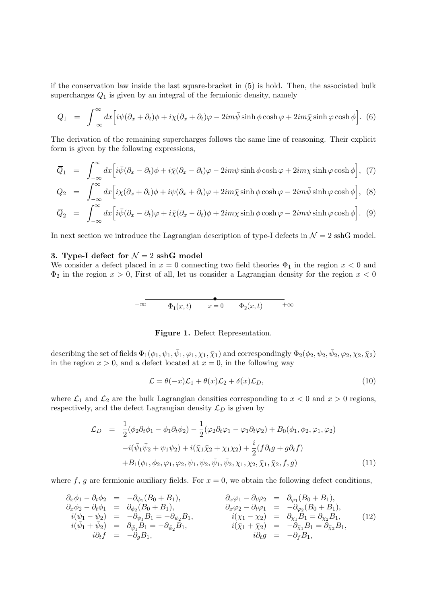if the conservation law inside the last square-bracket in (5) is hold. Then, the associated bulk supercharges  $Q_1$  is given by an integral of the fermionic density, namely

$$
Q_1 = \int_{-\infty}^{\infty} dx \Big[ i \psi (\partial_x + \partial_t) \phi + i \chi (\partial_x + \partial_t) \varphi - 2im \bar{\psi} \sinh \phi \cosh \varphi + 2im \bar{\chi} \sinh \varphi \cosh \phi \Big].
$$
 (6)

The derivation of the remaining supercharges follows the same line of reasoning. Their explicit form is given by the following expressions,

$$
\overline{Q}_1 = \int_{-\infty}^{\infty} dx \Big[ i \bar{\psi} (\partial_x - \partial_t) \phi + i \bar{\chi} (\partial_x - \partial_t) \varphi - 2im\psi \sinh \phi \cosh \varphi + 2im\chi \sinh \varphi \cosh \phi \Big], \tag{7}
$$

$$
Q_2 = \int_{-\infty}^{\infty} dx \Big[ i\chi(\partial_x + \partial_t)\phi + i\psi(\partial_x + \partial_t)\varphi + 2im\bar{\chi}\sinh\phi\cosh\varphi - 2im\bar{\psi}\sinh\varphi\cosh\phi \Big], \tag{8}
$$

$$
\overline{Q}_2 = \int_{-\infty}^{\infty} dx \Big[ i \bar{\psi} (\partial_x - \partial_t) \varphi + i \bar{\chi} (\partial_x - \partial_t) \phi + 2im\chi \sinh \phi \cosh \varphi - 2im\psi \sinh \varphi \cosh \phi \Big]. \tag{9}
$$

In next section we introduce the Lagrangian description of type-I defects in  $\mathcal{N}=2$  sshG model.

## 3. Type-I defect for  $\mathcal{N}=2$  sshG model

We consider a defect placed in  $x = 0$  connecting two field theories  $\Phi_1$  in the region  $x < 0$  and  $\Phi_2$  in the region  $x > 0$ , First of all, let us consider a Lagrangian density for the region  $x < 0$ 

$$
-\infty \qquad \qquad \Phi_1(x,t) \qquad x=0 \qquad \Phi_2(x,t) \qquad +\infty
$$

## Figure 1. Defect Representation.

describing the set of fields  $\Phi_1(\phi_1,\psi_1,\bar{\psi}_1,\varphi_1,\chi_1,\bar{\chi}_1)$  and correspondingly  $\Phi_2(\phi_2,\psi_2,\bar{\psi}_2,\varphi_2,\chi_2,\bar{\chi}_2)$ in the region  $x > 0$ , and a defect located at  $x = 0$ , in the following way

$$
\mathcal{L} = \theta(-x)\mathcal{L}_1 + \theta(x)\mathcal{L}_2 + \delta(x)\mathcal{L}_D,\tag{10}
$$

where  $\mathcal{L}_1$  and  $\mathcal{L}_2$  are the bulk Lagrangian densities corresponding to  $x < 0$  and  $x > 0$  regions, respectively, and the defect Lagrangian density  $\mathcal{L}_D$  is given by

$$
\mathcal{L}_D = \frac{1}{2} (\phi_2 \partial_t \phi_1 - \phi_1 \partial_t \phi_2) - \frac{1}{2} (\varphi_2 \partial_t \varphi_1 - \varphi_1 \partial_t \varphi_2) + B_0(\phi_1, \phi_2, \varphi_1, \varphi_2) \n- i (\bar{\psi}_1 \bar{\psi}_2 + \psi_1 \psi_2) + i (\bar{\chi}_1 \bar{\chi}_2 + \chi_1 \chi_2) + \frac{i}{2} (f \partial_t g + g \partial_t f) \n+ B_1(\phi_1, \phi_2, \varphi_1, \varphi_2, \psi_1, \psi_2, \bar{\psi}_1, \bar{\psi}_2, \chi_1, \chi_2, \bar{\chi}_1, \bar{\chi}_2, f, g)
$$
\n(11)

where f, g are fermionic auxiliary fields. For  $x = 0$ , we obtain the following defect conditions,

$$
\begin{array}{rcl}\n\partial_x \phi_1 - \partial_t \phi_2 & = & -\partial_{\phi_1} (B_0 + B_1), \\
\partial_x \phi_2 - \partial_t \phi_1 & = & \partial_{\phi_2} (B_0 + B_1), \\
i(\psi_1 - \psi_2) & = & -\partial_{\psi_1} B_1 = -\partial_{\psi_2} B_1, \\
i(\bar{\psi}_1 + \bar{\psi}_2) & = & \partial_{\bar{\psi}_1} B_1 = -\partial_{\bar{\psi}_2} B_1, \\
i\partial_t f & = & -\partial_g B_1, \\
i\partial_t f & = & -\partial_g B_1, \\
i\partial_t g & = & -\partial_f B_1,\n\end{array}\n\qquad\n\begin{array}{rcl}\n\partial_x \varphi_1 - \partial_t \varphi_2 & = & \partial_{\varphi_1} (B_0 + B_1), \\
\partial_x \varphi_2 - \partial_t \varphi_1 & = & -\partial_{\varphi_2} (B_0 + B_1), \\
i(\chi_1 - \chi_2) & = & \partial_{\chi_1} B_1 = \partial_{\chi_2} B_1, \\
i(\bar{\chi}_1 + \bar{\chi}_2) & = & -\partial_{\bar{\chi}_1} B_1 = \partial_{\bar{\chi}_2} B_1,\n\end{array}\n\qquad (12)
$$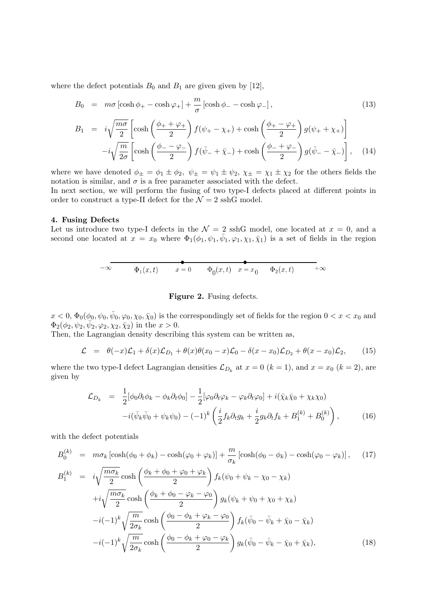where the defect potentials  $B_0$  and  $B_1$  are given given by [12],

$$
B_0 = m\sigma \left[ \cosh \phi_+ - \cosh \varphi_+ \right] + \frac{m}{\sigma} \left[ \cosh \phi_- - \cosh \varphi_- \right],\tag{13}
$$

$$
B_1 = i\sqrt{\frac{m\sigma}{2}} \left[ \cosh\left(\frac{\phi_+ + \varphi_+}{2}\right) f(\psi_+ - \chi_+) + \cosh\left(\frac{\phi_+ - \varphi_+}{2}\right) g(\psi_+ + \chi_+) \right]
$$

$$
-i\sqrt{\frac{m}{2\sigma}} \left[ \cosh\left(\frac{\phi_- - \varphi_-}{2}\right) f(\bar{\psi}_- + \bar{\chi}_-) + \cosh\left(\frac{\phi_- + \varphi_-}{2}\right) g(\bar{\psi}_- - \bar{\chi}_-) \right], \quad (14)
$$

where we have denoted  $\phi_{\pm} = \phi_1 \pm \phi_2$ ,  $\psi_{\pm} = \psi_1 \pm \psi_2$ ,  $\chi_{\pm} = \chi_1 \pm \chi_2$  for the others fields the notation is similar, and  $\sigma$  is a free parameter associated with the defect.

In next section, we will perform the fusing of two type-I defects placed at different points in order to construct a type-II defect for the  $\mathcal{N}=2$  sshG model.

### 4. Fusing Defects

Let us introduce two type-I defects in the  $\mathcal{N}=2$  sshG model, one located at  $x=0$ , and a second one located at  $x = x_0$  where  $\Phi_1(\phi_1, \psi_1, \bar{\psi}_1, \varphi_1, \chi_1, \bar{\chi}_1)$  is a set of fields in the region

$$
-\infty
$$
  $\Phi_1(x,t)$   $x = 0$   $\Phi_0(x,t)$   $x = x_0$   $\Phi_2(x,t)$   $+\infty$ 

#### Figure 2. Fusing defects.

 $x < 0$ ,  $\Phi_0(\phi_0, \psi_0, \bar{\psi}_0, \varphi_0, \chi_0, \bar{\chi}_0)$  is the correspondingly set of fields for the region  $0 < x < x_0$  and  $\Phi_2(\phi_2, \psi_2, \overline{\psi}_2, \varphi_2, \chi_2, \overline{\chi}_2)$  in the  $x > 0$ .

Then, the Lagrangian density describing this system can be written as,

$$
\mathcal{L} = \theta(-x)\mathcal{L}_1 + \delta(x)\mathcal{L}_{D_1} + \theta(x)\theta(x_0 - x)\mathcal{L}_0 - \delta(x - x_0)\mathcal{L}_{D_2} + \theta(x - x_0)\mathcal{L}_2, \qquad (15)
$$

where the two type-I defect Lagrangian densities  $\mathcal{L}_{D_k}$  at  $x = 0$   $(k = 1)$ , and  $x = x_0$   $(k = 2)$ , are given by

$$
\mathcal{L}_{D_k} = \frac{1}{2} [\phi_0 \partial_t \phi_k - \phi_k \partial_t \phi_0] - \frac{1}{2} [\varphi_0 \partial_t \varphi_k - \varphi_k \partial_t \varphi_0] + i(\bar{\chi}_k \bar{\chi}_0 + \chi_k \chi_0) \n- i(\bar{\psi}_k \bar{\psi}_0 + \psi_k \psi_0) - (-1)^k \left( \frac{i}{2} f_k \partial_t g_k + \frac{i}{2} g_k \partial_t f_k + B_1^{(k)} + B_0^{(k)} \right),
$$
\n(16)

with the defect potentials

$$
B_0^{(k)} = m\sigma_k \left[\cosh(\phi_0 + \phi_k) - \cosh(\varphi_0 + \varphi_k)\right] + \frac{m}{\sigma_k} \left[\cosh(\phi_0 - \phi_k) - \cosh(\varphi_0 - \varphi_k)\right], \quad (17)
$$
  
\n
$$
B_1^{(k)} = i\sqrt{\frac{m\sigma_k}{2}} \cosh\left(\frac{\phi_k + \phi_0 + \varphi_0 + \varphi_k}{2}\right) f_k(\psi_0 + \psi_k - \chi_0 - \chi_k)
$$
  
\n
$$
+ i\sqrt{\frac{m\sigma_k}{2}} \cosh\left(\frac{\phi_k + \phi_0 - \varphi_k - \varphi_0}{2}\right) g_k(\psi_k + \psi_0 + \chi_0 + \chi_k)
$$
  
\n
$$
-i(-1)^k \sqrt{\frac{m}{2\sigma_k}} \cosh\left(\frac{\phi_0 - \phi_k + \varphi_k - \varphi_0}{2}\right) f_k(\bar{\psi}_0 - \bar{\psi}_k + \bar{\chi}_0 - \bar{\chi}_k)
$$
  
\n
$$
-i(-1)^k \sqrt{\frac{m}{2\sigma_k}} \cosh\left(\frac{\phi_0 - \phi_k + \varphi_0 - \varphi_k}{2}\right) g_k(\bar{\psi}_0 - \bar{\psi}_k - \bar{\chi}_0 + \bar{\chi}_k), \quad (18)
$$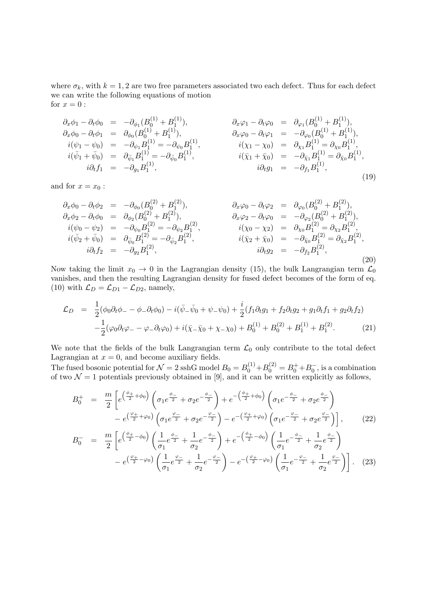where  $\sigma_k$ , with  $k = 1, 2$  are two free parameters associated two each defect. Thus for each defect we can write the following equations of motion for  $x=0$ :

$$
\partial_x \phi_1 - \partial_t \phi_0 = -\partial_{\phi_1} (B_0^{(1)} + B_1^{(1)}),
$$
\n
$$
\partial_x \phi_0 - \partial_t \phi_1 = \partial_{\phi_0} (B_0^{(1)} + B_1^{(1)}),
$$
\n
$$
i(\psi_1 - \psi_0) = -\partial_{\psi_1} B_1^{(1)} = -\partial_{\psi_0} B_1^{(1)},
$$
\n
$$
i(\bar{\psi}_1 + \bar{\psi}_0) = \partial_{\bar{\psi}_1} B_1^{(1)} = -\partial_{\bar{\psi}_0} B_1^{(1)},
$$
\n
$$
i(\bar{\psi}_1 + \bar{\psi}_0) = \partial_{\bar{\psi}_1} B_1^{(1)} = -\partial_{\bar{\psi}_0} B_1^{(1)},
$$
\n
$$
i(\bar{\chi}_1 + \bar{\chi}_0) = -\partial_{\bar{\chi}_1} B_1^{(1)} = \partial_{\bar{\chi}_0} B_1^{(1)},
$$
\n
$$
i(\bar{\chi}_1 + \bar{\chi}_0) = -\partial_{\bar{\chi}_1} B_1^{(1)} = \partial_{\bar{\chi}_0} B_1^{(1)},
$$
\n
$$
i\partial_t f_1 = -\partial_{g_1} B_1^{(1)},
$$
\n
$$
i\partial_t f_1 = -\partial_{g_1} B_1^{(1)},
$$
\n(19)

and for  $x = x_0$ :

$$
\partial_x \phi_0 - \partial_t \phi_2 = -\partial_{\phi_0} (B_0^{(2)} + B_1^{(2)}), \n\partial_x \phi_2 - \partial_t \phi_0 = \partial_{\phi_2} (B_0^{(2)} + B_1^{(2)}), \n\dot{i}(\psi_0 - \psi_2) = -\partial_{\psi_0} B_1^{(2)} = -\partial_{\psi_2} B_1^{(2)}, \n\dot{i}(\bar{\psi}_2 + \bar{\psi}_0) = \partial_{\bar{\psi}_0} B_1^{(2)} = -\partial_{\bar{\psi}_2} B_1^{(2)}, \n\dot{i}(\bar{\psi}_1) = \partial_{\bar{\psi}_0} B_1^{(2)} = -\partial_{\bar{\psi}_2} B_1^{(2)}, \n\dot{i}(\bar{\chi}_2 + \bar{\chi}_0) = -\partial_{\bar{\chi}_0} B_1^{(2)} = \partial_{\bar{\chi}_2} B_1^{(2)}, \n\dot{i}(\bar{\chi}_2 + \bar{\chi}_0) = -\partial_{\bar{\chi}_0} B_1^{(2)} = \partial_{\bar{\chi}_2} B_1^{(2)}, \n\dot{i}(\bar{\chi}_2 + \bar{\chi}_0) = -\partial_{\bar{\chi}_0} B_1^{(2)} = \partial_{\bar{\chi}_2} B_1^{(2)}, \n\dot{i}(\bar{\chi}_2) = -\partial_{\bar{\chi}_2} B_1^{(2)},
$$
\n(20)

Now taking the limit  $x_0 \to 0$  in the Lagrangian density (15), the bulk Langrangian term  $\mathcal{L}_0$ vanishes, and then the resulting Lagrangian density for fused defect becomes of the form of eq. (10) with  $\mathcal{L}_D = \mathcal{L}_{D1} - \mathcal{L}_{D2}$ , namely,

$$
\mathcal{L}_D = \frac{1}{2}(\phi_0 \partial_t \phi_- - \phi_- \partial_t \phi_0) - i(\bar{\psi}_- \bar{\psi}_0 + \psi_- \psi_0) + \frac{i}{2}(f_1 \partial_t g_1 + f_2 \partial_t g_2 + g_1 \partial_t f_1 + g_2 \partial_t f_2) \n- \frac{1}{2}(\varphi_0 \partial_t \varphi_- - \varphi_- \partial_t \varphi_0) + i(\bar{\chi}_- \bar{\chi}_0 + \chi_- \chi_0) + B_0^{(1)} + B_0^{(2)} + B_1^{(1)} + B_1^{(2)}.
$$
\n(21)

We note that the fields of the bulk Langrangian term  $\mathcal{L}_0$  only contribute to the total defect Lagrangian at  $x = 0$ , and become auxiliary fields.

The fused bosonic potential for  $\mathcal{N}=2$  sshG model  $B_0=B_0^{(1)}+B_0^{(2)}=B_0^++B_0^-,$  is a combination of two  $\mathcal{N} = 1$  potentials previously obtained in [9], and it can be written explicitly as follows,

$$
B_0^+ = \frac{m}{2} \left[ e^{\left(\frac{\phi_+}{2} + \phi_0\right)} \left( \sigma_1 e^{\frac{\phi_-}{2}} + \sigma_2 e^{-\frac{\phi_-}{2}} \right) + e^{-\left(\frac{\phi_+}{2} + \phi_0\right)} \left( \sigma_1 e^{-\frac{\phi_-}{2}} + \sigma_2 e^{\frac{\phi_-}{2}} \right) \right] - e^{\left(\frac{\phi_+}{2} + \phi_0\right)} \left( \sigma_1 e^{-\frac{\phi_-}{2}} + \sigma_2 e^{-\frac{\phi_-}{2}} \right) - e^{-\left(\frac{\phi_+}{2} + \phi_0\right)} \left( \sigma_1 e^{-\frac{\phi_-}{2}} + \sigma_2 e^{\frac{\phi_-}{2}} \right) \right],
$$
(22)  

$$
m \left[ \left(\frac{\phi_+}{2} - \phi_0\right) \left( 1 + \phi_- - 1 + \phi_-\right) - \left(\frac{\phi_+}{2} - \phi_0\right) \left( 1 + \phi_- - 1 + \phi_-\right) \right]
$$

$$
B_0^- = \frac{m}{2} \left[ e^{\left(\frac{\phi_+}{2} - \phi_0\right)} \left( \frac{1}{\sigma_1} e^{\frac{\phi_-}{2}} + \frac{1}{\sigma_2} e^{-\frac{\phi_-}{2}} \right) + e^{-\left(\frac{\phi_+}{2} - \phi_0\right)} \left( \frac{1}{\sigma_1} e^{-\frac{\phi_-}{2}} + \frac{1}{\sigma_2} e^{\frac{\phi_-}{2}} \right) - e^{\left(\frac{\phi_+}{2} - \phi_0\right)} \left( \frac{1}{\sigma_1} e^{-\frac{\phi_-}{2}} + \frac{1}{\sigma_2} e^{-\frac{\phi_-}{2}} \right) - e^{-\left(\frac{\phi_+}{2} - \phi_0\right)} \left( \frac{1}{\sigma_1} e^{-\frac{\phi_-}{2}} + \frac{1}{\sigma_2} e^{\frac{\phi_-}{2}} \right) \right].
$$
 (23)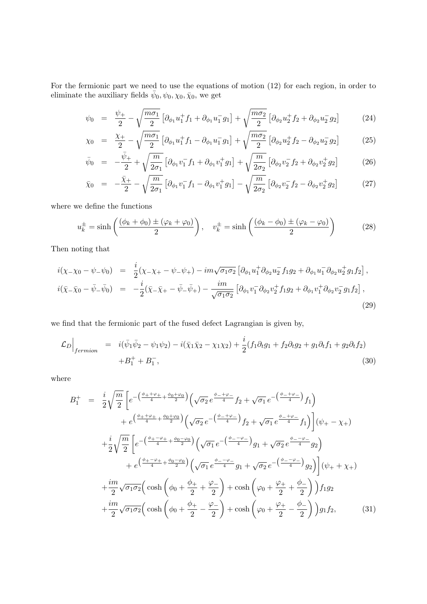For the fermionic part we need to use the equations of motion (12) for each region, in order to eliminate the auxiliary fields  $\bar{\psi}_0, \psi_0, \chi_0, \bar{\chi}_0$ , we get

$$
\psi_0 = \frac{\psi_+}{2} - \sqrt{\frac{m\sigma_1}{2}} \left[ \partial_{\phi_1} u_1^+ f_1 + \partial_{\phi_1} u_1^- g_1 \right] + \sqrt{\frac{m\sigma_2}{2}} \left[ \partial_{\phi_2} u_2^+ f_2 + \partial_{\phi_2} u_2^- g_2 \right] \tag{24}
$$

$$
\chi_0 = \frac{\chi_+}{2} - \sqrt{\frac{m\sigma_1}{2}} \left[ \partial_{\phi_1} u_1^+ f_1 - \partial_{\phi_1} u_1^- g_1 \right] + \sqrt{\frac{m\sigma_2}{2}} \left[ \partial_{\phi_2} u_2^+ f_2 - \partial_{\phi_2} u_2^- g_2 \right] \tag{25}
$$

$$
\bar{\psi}_0 = -\frac{\bar{\psi}_+}{2} + \sqrt{\frac{m}{2\sigma_1}} \left[ \partial_{\phi_1} v_1^- f_1 + \partial_{\phi_1} v_1^+ g_1 \right] + \sqrt{\frac{m}{2\sigma_2}} \left[ \partial_{\phi_2} v_2^- f_2 + \partial_{\phi_2} v_2^+ g_2 \right] \tag{26}
$$

$$
\bar{\chi}_0 = -\frac{\bar{\chi}_+}{2} - \sqrt{\frac{m}{2\sigma_1}} \left[ \partial_{\phi_1} v_1^- f_1 - \partial_{\phi_1} v_1^+ g_1 \right] - \sqrt{\frac{m}{2\sigma_2}} \left[ \partial_{\phi_2} v_2^- f_2 - \partial_{\phi_2} v_2^+ g_2 \right] \tag{27}
$$

where we define the functions

$$
u_k^{\pm} = \sinh\left(\frac{(\phi_k + \phi_0) \pm (\varphi_k + \varphi_0)}{2}\right), \quad v_k^{\pm} = \sinh\left(\frac{(\phi_k - \phi_0) \pm (\varphi_k - \varphi_0)}{2}\right) \tag{28}
$$

Then noting that

$$
i(\chi_{-}\chi_{0}-\psi_{-}\psi_{0}) = \frac{i}{2}(\chi_{-}\chi_{+}-\psi_{-}\psi_{+}) - im\sqrt{\sigma_{1}\sigma_{2}} \left[\partial_{\phi_{1}}u_{1}^{+}\partial_{\phi_{2}}u_{2}^{-}f_{1}g_{2} + \partial_{\phi_{1}}u_{1}^{-}\partial_{\phi_{2}}u_{2}^{+}g_{1}f_{2}\right],
$$
  
\n
$$
i(\bar{\chi}_{-}\bar{\chi}_{0}-\bar{\psi}_{-}\bar{\psi}_{0}) = -\frac{i}{2}(\bar{\chi}_{-}\bar{\chi}_{+}-\bar{\psi}_{-}\bar{\psi}_{+}) - \frac{im}{\sqrt{\sigma_{1}\sigma_{2}}} \left[\partial_{\phi_{1}}v_{1}^{-}\partial_{\phi_{2}}v_{2}^{+}f_{1}g_{2} + \partial_{\phi_{1}}v_{1}^{+}\partial_{\phi_{2}}v_{2}^{-}g_{1}f_{2}\right],
$$
\n(29)

we find that the fermionic part of the fused defect Lagrangian is given by,

$$
\mathcal{L}_D \Big|_{fermion} = i(\bar{\psi}_1 \bar{\psi}_2 - \psi_1 \psi_2) - i(\bar{\chi}_1 \bar{\chi}_2 - \chi_1 \chi_2) + \frac{i}{2} (f_1 \partial_t g_1 + f_2 \partial_t g_2 + g_1 \partial_t f_1 + g_2 \partial_t f_2) + B_1^+ + B_1^-, \tag{30}
$$

where

$$
B_{1}^{+} = \frac{i}{2} \sqrt{\frac{m}{2}} \left[ e^{-\left(\frac{\phi_{+} + \varphi_{+}}{4} + \frac{\phi_{0} + \varphi_{0}}{2}\right)} \left( \sqrt{\sigma_{2}} e^{-\frac{\phi_{-} + \varphi_{-}}{4}} f_{2} + \sqrt{\sigma_{1}} e^{-\left(\frac{\phi_{-} + \varphi_{-}}{4}\right)} f_{1} \right) \right. \\
\left. + e^{\left(\frac{\phi_{+} + \varphi_{+}}{4} + \frac{\phi_{0} + \varphi_{0}}{2}\right)} \left( \sqrt{\sigma_{2}} e^{-\left(\frac{\phi_{-} + \varphi_{-}}{4}\right)} f_{2} + \sqrt{\sigma_{1}} e^{-\frac{\phi_{-} + \varphi_{-}}{4}} f_{1} \right) \right] (\psi_{+} - \chi_{+}) \\
+ \frac{i}{2} \sqrt{\frac{m}{2}} \left[ e^{-\left(\frac{\phi_{+} - \varphi_{+}}{4} + \frac{\phi_{0} - \varphi_{0}}{2}\right)} \left( \sqrt{\sigma_{1}} e^{-\left(\frac{\phi_{-} - \varphi_{-}}{4}\right)} g_{1} + \sqrt{\sigma_{2}} e^{-\frac{\phi_{-} - \varphi_{-}}{4}} g_{2} \right) \right. \\
\left. + e^{\left(\frac{\phi_{+} - \varphi_{+}}{4} + \frac{\phi_{0} - \varphi_{0}}{2}\right)} \left( \sqrt{\sigma_{1}} e^{-\frac{\phi_{-} - \varphi_{-}}{4}} g_{1} + \sqrt{\sigma_{2}} e^{-\left(\frac{\phi_{-} - \varphi_{-}}{4}\right)} g_{2} \right) \right] (\psi_{+} + \chi_{+}) \\
+ \frac{i m}{2} \sqrt{\sigma_{1} \sigma_{2}} \left( \cosh \left( \phi_{0} + \frac{\phi_{+}}{2} + \frac{\varphi_{-}}{2} \right) + \cosh \left( \phi_{0} + \frac{\varphi_{+}}{2} + \frac{\phi_{-}}{2} \right) \right) f_{1} g_{2} \\
+ \frac{i m}{2} \sqrt{\sigma_{1} \sigma_{2}} \left( \cosh \left( \phi_{0} + \frac{\phi_{+}}{2} - \frac{\varphi_{-}}{2} \right) + \cosh \left( \phi_{0} + \frac{\varphi_{+}}{2} - \frac{\phi_{-}}{2} \right) \right) g_{1} f_{2}, \
$$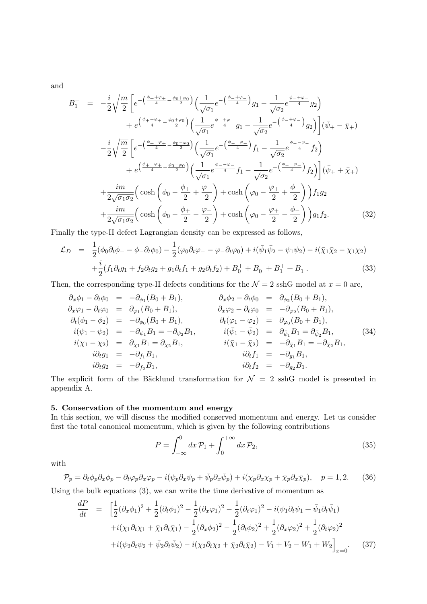and

$$
B_{1}^{-} = -\frac{i}{2}\sqrt{\frac{m}{2}}\left[e^{-\left(\frac{\phi_{+}+\varphi_{+}}{4}-\frac{\phi_{0}+\varphi_{0}}{2}\right)}\left(\frac{1}{\sqrt{\sigma_{1}}}e^{-\left(\frac{\phi_{-}+\varphi_{-}}{4}\right)}g_{1}-\frac{1}{\sqrt{\sigma_{2}}}e^{\frac{\phi_{-}+\varphi_{-}}{4}}g_{2}\right)\right] + e^{\left(\frac{\phi_{+}+\varphi_{+}}{4}-\frac{\phi_{0}+\varphi_{0}}{2}\right)}\left(\frac{1}{\sqrt{\sigma_{1}}}e^{\frac{\phi_{-}+\varphi_{-}}{4}}g_{1}-\frac{1}{\sqrt{\sigma_{2}}}e^{-\left(\frac{\phi_{-}+\varphi_{-}}{4}\right)}g_{2}\right)\left(\bar{\psi}_{+}-\bar{\chi}_{+}\right) - \frac{i}{2}\sqrt{\frac{m}{2}}\left[e^{-\left(\frac{\phi_{+}-\varphi_{+}}{4}-\frac{\phi_{0}-\varphi_{0}}{2}\right)}\left(\frac{1}{\sqrt{\sigma_{1}}}e^{-\left(\frac{\phi_{-}-\varphi_{-}}{4}\right)}f_{1}-\frac{1}{\sqrt{\sigma_{2}}}e^{\frac{\phi_{-}-\varphi_{-}}{4}}f_{2}\right)\right] + e^{\left(\frac{\phi_{+}-\varphi_{+}}{4}-\frac{\phi_{0}-\varphi_{0}}{2}\right)}\left(\frac{1}{\sqrt{\sigma_{1}}}e^{\frac{\phi_{-}-\varphi_{-}}{4}}f_{1}-\frac{1}{\sqrt{\sigma_{2}}}e^{-\left(\frac{\phi_{-}-\varphi_{-}}{4}\right)}f_{2}\right)\left(\bar{\psi}_{+}+\bar{\chi}_{+}\right) + \frac{im}{2\sqrt{\sigma_{1}\sigma_{2}}} \left(\cosh\left(\phi_{0}-\frac{\phi_{+}}{2}+\frac{\varphi_{-}}{2}\right)+\cosh\left(\phi_{0}-\frac{\varphi_{+}}{2}+\frac{\phi_{-}}{2}\right)\right)f_{1}g_{2} + \frac{im}{2\sqrt{\sigma_{1}\sigma_{2}}} \left(\cosh\left(\phi_{0}-\frac{\phi_{+}}{2}-\frac{\varphi_{-}}{2}\right)+\cosh\left(\phi_{0}-\frac{\varphi_{+}}{2}-\frac{\phi_{-}}{2}\right)\right)g_{1}f_{2}.
$$
 (32)

Finally the type-II defect Lagrangian density can be expressed as follows,

$$
\mathcal{L}_D = \frac{1}{2}(\phi_0 \partial_t \phi_- - \phi_- \partial_t \phi_0) - \frac{1}{2}(\varphi_0 \partial_t \varphi_- - \varphi_- \partial_t \varphi_0) + i(\bar{\psi}_1 \bar{\psi}_2 - \psi_1 \psi_2) - i(\bar{\chi}_1 \bar{\chi}_2 - \chi_1 \chi_2) \n+ \frac{i}{2}(f_1 \partial_t g_1 + f_2 \partial_t g_2 + g_1 \partial_t f_1 + g_2 \partial_t f_2) + B_0^+ + B_0^- + B_1^+ + B_1^-.
$$
\n(33)

Then, the corresponding type-II defects conditions for the  $\mathcal{N}=2$  sshG model at  $x=0$  are,

$$
\partial_x \phi_1 - \partial_t \phi_0 = -\partial_{\phi_1} (B_0 + B_1), \n\partial_x \phi_1 - \partial_t \phi_0 = \partial_{\phi_1} (B_0 + B_1), \n\partial_t (\phi_1 - \phi_2) = -\partial_{\phi_0} (B_0 + B_1), \n\dot{\theta}_t (\phi_1 - \phi_2) = -\partial_{\phi_0} (B_0 + B_1), \n\dot{\theta}_t (\phi_1 - \phi_2) = -\partial_{\phi_1} B_1 = -\partial_{\phi_2} B_1, \n\dot{\theta}_t (\phi_1 - \phi_2) = \partial_{\phi_1} B_1 = -\partial_{\phi_2} B_1, \n\dot{\theta}_t (\phi_1 - \phi_2) = \partial_{\phi_1} B_1 = \partial_{\phi_2} B_1, \n\dot{\theta}_t (\phi_1 - \phi_2) = \partial_{\phi_1} B_1 = \partial_{\phi_2} B_1, \n\dot{\theta}_t (\phi_1 - \phi_2) = \partial_{\phi_1} B_1 = \partial_{\phi_2} B_1, \n\dot{\theta}_t (\phi_1 - \phi_2) = \partial_{\phi_1} B_1 = \partial_{\phi_2} B_1, \n\dot{\theta}_t (\phi_1 - \phi_2) = -\partial_{\phi_1} B_1 = \partial_{\phi_2} B_1, \n\dot{\theta}_t f_1 = -\partial_{\phi_1} B_1, \n\dot{\theta}_t f_2 = -\partial_{\phi_2} B_1.
$$
\n(34)

The explicit form of the Bäcklund transformation for  $\mathcal{N} = 2$  sshG model is presented in appendix A.

## 5. Conservation of the momentum and energy

In this section, we will discuss the modified conserved momentum and energy. Let us consider first the total canonical momentum, which is given by the following contributions

$$
P = \int_{-\infty}^{0} dx \, \mathcal{P}_1 + \int_{0}^{+\infty} dx \, \mathcal{P}_2,\tag{35}
$$

with

$$
\mathcal{P}_p = \partial_t \phi_p \partial_x \phi_p - \partial_t \varphi_p \partial_x \varphi_p - i(\psi_p \partial_x \psi_p + \bar{\psi}_p \partial_x \bar{\psi}_p) + i(\chi_p \partial_x \chi_p + \bar{\chi}_p \partial_x \bar{\chi}_p), \quad p = 1, 2. \tag{36}
$$

Using the bulk equations (3), we can write the time derivative of momentum as

$$
\frac{dP}{dt} = \left[ \frac{1}{2} (\partial_x \phi_1)^2 + \frac{1}{2} (\partial_t \phi_1)^2 - \frac{1}{2} (\partial_x \varphi_1)^2 - \frac{1}{2} (\partial_t \varphi_1)^2 - i (\psi_1 \partial_t \psi_1 + \bar{\psi}_1 \partial_t \bar{\psi}_1) \right.\left. + i (\chi_1 \partial_t \chi_1 + \bar{\chi}_1 \partial_t \bar{\chi}_1) - \frac{1}{2} (\partial_x \phi_2)^2 - \frac{1}{2} (\partial_t \phi_2)^2 + \frac{1}{2} (\partial_x \varphi_2)^2 + \frac{1}{2} (\partial_t \varphi_2)^2 \right.\left. + i (\psi_2 \partial_t \psi_2 + \bar{\psi}_2 \partial_t \bar{\psi}_2) - i (\chi_2 \partial_t \chi_2 + \bar{\chi}_2 \partial_t \bar{\chi}_2) - V_1 + V_2 - W_1 + W_2 \right]_{x=0}.
$$
\n(37)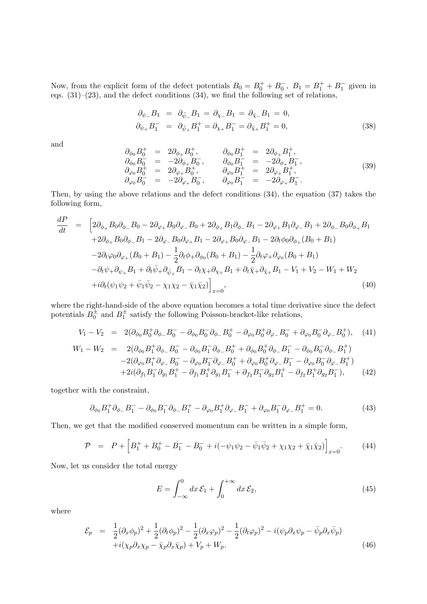Now, from the explicit form of the defect potentials  $B_0 = B_0^+ + B_0^-$ ,  $B_1 = B_1^+ + B_1^-$  given in eqs.  $(31)$ – $(23)$ , and the defect conditions  $(34)$ , we find the following set of relations,

$$
\partial_{\psi_{-}}B_{1} = \partial_{\bar{\psi}_{-}}B_{1} = \partial_{\chi_{-}}B_{1} = \partial_{\bar{\chi}_{-}}B_{1} = 0, \n\partial_{\psi_{+}}B_{1}^{-} = \partial_{\bar{\psi}_{+}}B_{1}^{+} = \partial_{\chi_{+}}B_{1}^{-} = \partial_{\bar{\chi}_{+}}B_{1}^{+} = 0,
$$
\n(38)

and

$$
\begin{array}{rcl}\n\partial_{\phi_0} B_0^+ & = & 2\partial_{\phi_+} B_0^+, & \partial_{\phi_0} B_1^+ & = & 2\partial_{\phi_+} B_1^+, \\
\partial_{\phi_0} B_0^- & = & -2\partial_{\phi_+} B_0^-, & \partial_{\phi_0} B_1^- & = & -2\partial_{\phi_+} B_1^-, \\
\partial_{\varphi_0} B_0^+ & = & 2\partial_{\varphi_+} B_0^+, & \partial_{\varphi_0} B_1^+ & = & 2\partial_{\varphi_+} B_1^+, \\
\partial_{\varphi_0} B_0^- & = & -2\partial_{\varphi_+} B_0^-, & \partial_{\varphi_0} B_1^- & = & -2\partial_{\varphi_+} B_1^-. \n\end{array} \tag{39}
$$

Then, by using the above relations and the defect conditions (34), the equation (37) takes the following form,

$$
\frac{dP}{dt} = \left[2\partial_{\phi_+}B_0\partial_{\phi_-}B_0 - 2\partial_{\varphi_+}B_0\partial_{\varphi_-}B_0 + 2\partial_{\phi_+}B_1\partial_{\phi_-}B_1 - 2\partial_{\varphi_+}B_1\partial_{\varphi_-}B_1 + 2\partial_{\phi_-}B_0\partial_{\phi_+}B_1 + 2\partial_{\phi_+}B_0\partial_{\phi_-}B_1 - 2\partial_{\varphi_+}B_0\partial_{\varphi_+}B_1 - 2\partial_{\varphi_+}B_0\partial_{\varphi_-}B_1 - 2\partial_t\phi_0\partial_{\phi_+}(B_0 + B_1) - 2\partial_t\varphi_0\partial_{\varphi_+}(B_0 + B_1) - \frac{1}{2}\partial_t\varphi_+\partial_{\phi_0}(B_0 + B_1) - \frac{1}{2}\partial_t\varphi_+\partial_{\varphi_0}(B_0 + B_1) - \partial_t\psi_+\partial_{\psi_+}B_1 + \partial_t\bar{\psi}_+\partial_{\bar{\psi}_+}B_1 - \partial_t\chi_+\partial_{\chi_+}B_1 + \partial_t\bar{\chi}_+\partial_{\bar{\chi}_+}B_1 - V_1 + V_2 - W_1 + W_2 + i\partial_t(\psi_1\psi_2 + \bar{\psi}_1\bar{\psi}_2 - \chi_1\chi_2 - \bar{\chi}_1\bar{\chi}_2)\right]_{x=0},
$$
\n(40)

where the right-hand-side of the above equation becomes a total time derivative since the defect potentials  $B_0^{\pm}$  and  $B_1^{\pm}$  satisfy the following Poisson-bracket-like relations,

$$
V_1 - V_2 = 2(\partial_{\phi_0} B_0^+ \partial_{\phi_-} B_0^- - \partial_{\phi_0} B_0^- \partial_{\phi_-} B_0^+ - \partial_{\varphi_0} B_0^+ \partial_{\varphi_-} B_0^- + \partial_{\varphi_0} B_0^- \partial_{\varphi_-} B_0^+),
$$
(41)  
\n
$$
W_1 - W_2 = 2(\partial_{\phi_0} B_1^+ \partial_{\phi_-} B_0^- - \partial_{\phi_0} B_1^- \partial_{\phi_-} B_0^+ + \partial_{\phi_0} B_0^+ \partial_{\phi_-} B_1^- - \partial_{\phi_0} B_0^- \partial_{\phi_-} B_1^+)
$$
\n
$$
-2(\partial_{\varphi_0} B_1^+ \partial_{\varphi_-} B_0^- - \partial_{\varphi_0} B_1^- \partial_{\varphi_-} B_0^+ + \partial_{\varphi_0} B_0^+ \partial_{\varphi_-} B_1^- - \partial_{\varphi_0} B_0^- \partial_{\varphi_-} B_1^+)
$$

$$
+2i(\partial_{f_1}B_1^{-}\partial_{g_1}B_1^{+}-\partial_{f_1}B_1^{+}\partial_{g_1}B_1^{-}+\partial_{f_2}B_1^{-}\partial_{g_2}B_1^{+}-\partial_{f_2}B_1^{+}\partial_{g_2}B_1^{-}),
$$
 (42)

together with the constraint,

$$
\partial_{\phi_0} B_1^+ \partial_{\phi_-} B_1^- - \partial_{\phi_0} B_1^- \partial_{\phi_-} B_1^+ - \partial_{\varphi_0} B_1^+ \partial_{\varphi_-} B_1^- + \partial_{\varphi_0} B_1^- \partial_{\varphi_-} B_1^+ = 0. \tag{43}
$$

Then, we get that the modified conserved momentum can be written in a simple form,

$$
\mathcal{P} = P + \left[ B_1^+ + B_0^+ - B_1^- - B_0^- + i(-\psi_1\psi_2 - \bar{\psi}_1\bar{\psi}_2 + \chi_1\chi_2 + \bar{\chi}_1\bar{\chi}_2) \right]_{x=0}.
$$
 (44)

Now, let us consider the total energy

$$
E = \int_{-\infty}^{0} dx \, \mathcal{E}_1 + \int_{0}^{+\infty} dx \, \mathcal{E}_2,
$$
\n(45)

where

$$
\mathcal{E}_p = \frac{1}{2} (\partial_x \phi_p)^2 + \frac{1}{2} (\partial_t \phi_p)^2 - \frac{1}{2} (\partial_x \varphi_p)^2 - \frac{1}{2} (\partial_t \varphi_p)^2 - i(\psi_p \partial_x \psi_p - \bar{\psi}_p \partial_x \bar{\psi}_p) \n+ i(\chi_p \partial_x \chi_p - \bar{\chi}_p \partial_x \bar{\chi}_p) + V_p + W_p.
$$
\n(46)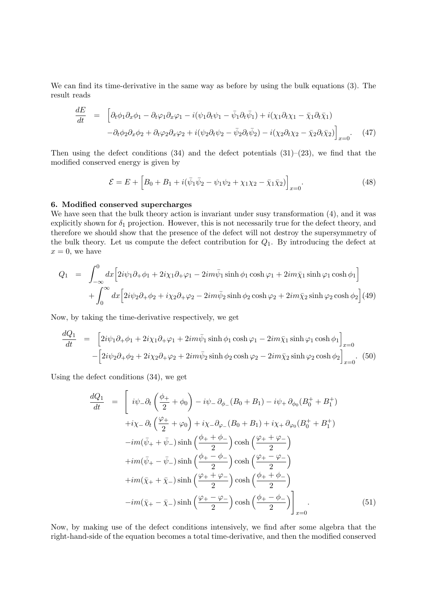We can find its time-derivative in the same way as before by using the bulk equations (3). The result reads

$$
\frac{dE}{dt} = \left[ \partial_t \phi_1 \partial_x \phi_1 - \partial_t \varphi_1 \partial_x \varphi_1 - i(\psi_1 \partial_t \psi_1 - \bar{\psi}_1 \partial_t \bar{\psi}_1) + i(\chi_1 \partial_t \chi_1 - \bar{\chi}_1 \partial_t \bar{\chi}_1) - \partial_t \phi_2 \partial_x \phi_2 + \partial_t \varphi_2 \partial_x \varphi_2 + i(\psi_2 \partial_t \psi_2 - \bar{\psi}_2 \partial_t \bar{\psi}_2) - i(\chi_2 \partial_t \chi_2 - \bar{\chi}_2 \partial_t \bar{\chi}_2) \right]_{x=0}.
$$
\n(47)

Then using the defect conditions (34) and the defect potentials  $(31)$ – $(23)$ , we find that the modified conserved energy is given by

$$
\mathcal{E} = E + \left[ B_0 + B_1 + i(\bar{\psi}_1 \bar{\psi}_2 - \psi_1 \psi_2 + \chi_1 \chi_2 - \bar{\chi}_1 \bar{\chi}_2) \right]_{x=0}.
$$
\n(48)

#### 6. Modified conserved supercharges

We have seen that the bulk theory action is invariant under susy transformation (4), and it was explicitly shown for  $\delta_1$  projection. However, this is not necessarily true for the defect theory, and therefore we should show that the presence of the defect will not destroy the supersymmetry of the bulk theory. Let us compute the defect contribution for  $Q_1$ . By introducing the defect at  $x = 0$ , we have

$$
Q_1 = \int_{-\infty}^{0} dx \Big[ 2i\psi_1 \partial_+ \phi_1 + 2i\chi_1 \partial_+ \varphi_1 - 2im\bar{\psi}_1 \sinh \phi_1 \cosh \varphi_1 + 2im\bar{\chi}_1 \sinh \varphi_1 \cosh \phi_1 \Big] + \int_{0}^{\infty} dx \Big[ 2i\psi_2 \partial_+ \phi_2 + i\chi_2 \partial_+ \varphi_2 - 2im\bar{\psi}_2 \sinh \phi_2 \cosh \varphi_2 + 2im\bar{\chi}_2 \sinh \varphi_2 \cosh \phi_2 \Big] (49)
$$

Now, by taking the time-derivative respectively, we get

$$
\frac{dQ_1}{dt} = \left[2i\psi_1\partial_+\phi_1 + 2i\chi_1\partial_+\varphi_1 + 2im\bar{\psi}_1\sinh\phi_1\cosh\varphi_1 - 2im\bar{\chi}_1\sinh\varphi_1\cosh\phi_1\right]_{x=0}
$$

$$
-\left[2i\psi_2\partial_+\phi_2 + 2i\chi_2\partial_+\varphi_2 + 2im\bar{\psi}_2\sinh\phi_2\cosh\varphi_2 - 2im\bar{\chi}_2\sinh\varphi_2\cosh\phi_2\right]_{x=0}.\tag{50}
$$

Using the defect conditions (34), we get

$$
\frac{dQ_1}{dt} = \left[ i\psi_- \partial_t \left( \frac{\phi_+}{2} + \phi_0 \right) - i\psi_- \partial_{\phi_-} (B_0 + B_1) - i\psi_+ \partial_{\phi_0} (B_0^+ + B_1^+) \right.
$$
  
\n
$$
+ i\chi_- \partial_t \left( \frac{\varphi_+}{2} + \varphi_0 \right) + i\chi_- \partial_{\varphi_-} (B_0 + B_1) + i\chi_+ \partial_{\varphi_0} (B_0^+ + B_1^+) \right.
$$
  
\n
$$
-im(\bar{\psi}_+ + \bar{\psi}_-) \sinh \left( \frac{\phi_+ + \phi_-}{2} \right) \cosh \left( \frac{\varphi_+ + \varphi_-}{2} \right)
$$
  
\n
$$
+ im(\bar{\psi}_+ - \bar{\psi}_-) \sinh \left( \frac{\phi_+ - \phi_-}{2} \right) \cosh \left( \frac{\varphi_+ - \varphi_-}{2} \right)
$$
  
\n
$$
+ im(\bar{\chi}_+ + \bar{\chi}_-) \sinh \left( \frac{\varphi_+ + \varphi_-}{2} \right) \cosh \left( \frac{\phi_+ + \phi_-}{2} \right)
$$
  
\n
$$
-im(\bar{\chi}_+ - \bar{\chi}_-) \sinh \left( \frac{\varphi_+ - \varphi_-}{2} \right) \cosh \left( \frac{\phi_+ - \phi_-}{2} \right)
$$
  
\n(51)

Now, by making use of the defect conditions intensively, we find after some algebra that the right-hand-side of the equation becomes a total time-derivative, and then the modified conserved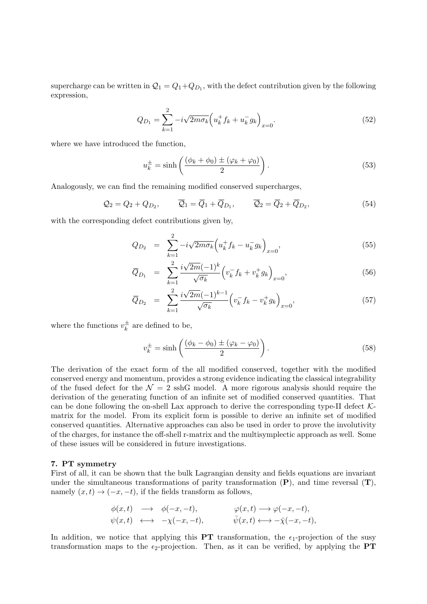supercharge can be written in  $\mathcal{Q}_1 = Q_1 + Q_{D_1}$ , with the defect contribution given by the following expression,

$$
Q_{D_1} = \sum_{k=1}^{2} -i\sqrt{2m\sigma_k} \left( u_k^+ f_k + u_k^- g_k \right)_{x=0}.
$$
 (52)

where we have introduced the function,

$$
u_k^{\pm} = \sinh\left(\frac{(\phi_k + \phi_0) \pm (\varphi_k + \varphi_0)}{2}\right). \tag{53}
$$

Analogously, we can find the remaining modified conserved supercharges,

$$
Q_2 = Q_2 + Q_{D_2}, \qquad \overline{Q}_1 = \overline{Q}_1 + \overline{Q}_{D_1}, \qquad \overline{Q}_2 = \overline{Q}_2 + \overline{Q}_{D_2}, \tag{54}
$$

with the corresponding defect contributions given by,

$$
Q_{D_2} = \sum_{k=1}^2 -i\sqrt{2m\sigma_k} \left( u_k^+ f_k - u_k^- g_k \right)_{x=0}, \tag{55}
$$

$$
\overline{Q}_{D_1} = \sum_{k=1}^{2} \frac{i\sqrt{2m}(-1)^k}{\sqrt{\sigma_k}} \left( v_k^- f_k + v_k^+ g_k \right)_{x=0}, \tag{56}
$$

$$
\overline{Q}_{D_2} = \sum_{k=1}^2 \frac{i\sqrt{2m}(-1)^{k-1}}{\sqrt{\sigma_k}} \left( v_k^- f_k - v_k^+ g_k \right)_{x=0},\tag{57}
$$

where the functions  $v_k^{\pm}$  $\frac{1}{k}$  are defined to be,

$$
v_k^{\pm} = \sinh\left(\frac{(\phi_k - \phi_0) \pm (\varphi_k - \varphi_0)}{2}\right). \tag{58}
$$

The derivation of the exact form of the all modified conserved, together with the modified conserved energy and momentum, provides a strong evidence indicating the classical integrability of the fused defect for the  $\mathcal{N} = 2$  sshG model. A more rigorous analysis should require the derivation of the generating function of an infinite set of modified conserved quantities. That can be done following the on-shell Lax approach to derive the corresponding type-II defect  $K$ matrix for the model. From its explicit form is possible to derive an infinite set of modified conserved quantities. Alternative approaches can also be used in order to prove the involutivity of the charges, for instance the off-shell r-matrix and the multisymplectic approach as well. Some of these issues will be considered in future investigations.

## 7. PT symmetry

First of all, it can be shown that the bulk Lagrangian density and fields equations are invariant under the simultaneous transformations of parity transformation  $(P)$ , and time reversal  $(T)$ , namely  $(x, t) \rightarrow (-x, -t)$ , if the fields transform as follows,

$$
\begin{array}{rcl}\n\phi(x,t) & \longrightarrow & \phi(-x,-t), \\
\psi(x,t) & \longleftrightarrow & -\chi(-x,-t), \\
\end{array}\n\qquad \qquad \begin{array}{rcl}\n\varphi(x,t) & \longrightarrow \varphi(-x,-t), \\
\bar{\psi}(x,t) & \longleftrightarrow & -\bar{\chi}(-x,-t),\n\end{array}
$$

In addition, we notice that applying this **PT** transformation, the  $\epsilon_1$ -projection of the susy transformation maps to the  $\epsilon_2$ -projection. Then, as it can be verified, by applying the **PT**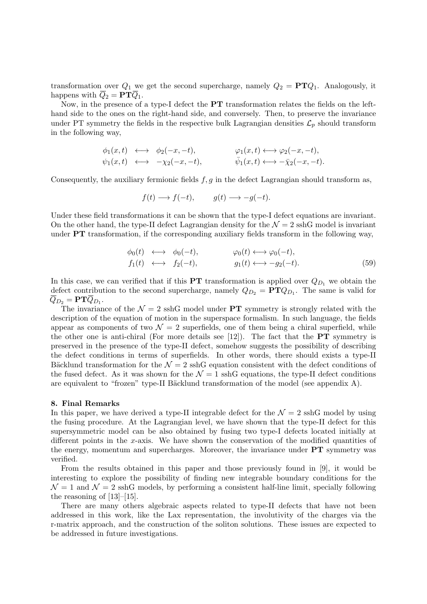transformation over  $Q_1$  we get the second supercharge, namely  $Q_2 = PTQ_1$ . Analogously, it happens with  $\overline{Q}_2 = \mathbf{PT}\overline{Q}_1$ .

Now, in the presence of a type-I defect the PT transformation relates the fields on the lefthand side to the ones on the right-hand side, and conversely. Then, to preserve the invariance under PT symmetry the fields in the respective bulk Lagrangian densities  $\mathcal{L}_p$  should transform in the following way,

$$
\begin{array}{rcl}\n\phi_1(x,t) & \longleftrightarrow & \phi_2(-x,-t), \\
\psi_1(x,t) & \longleftrightarrow & -\chi_2(-x,-t), \\
\psi_2(x,t) & \longleftrightarrow & \psi_1(x,t) \longleftrightarrow & -\bar{\chi}_2(-x,-t).\n\end{array}
$$

Consequently, the auxiliary fermionic fields  $f, g$  in the defect Lagrangian should transform as,

$$
f(t) \longrightarrow f(-t), \qquad g(t) \longrightarrow -g(-t).
$$

Under these field transformations it can be shown that the type-I defect equations are invariant. On the other hand, the type-II defect Lagrangian density for the  $\mathcal{N}=2$  sshG model is invariant under **PT** transformation, if the corresponding auxiliary fields transform in the following way,

$$
\begin{array}{rcl}\n\phi_0(t) & \longleftrightarrow & \phi_0(-t), \\
f_1(t) & \longleftrightarrow & f_2(-t), \\
\end{array}\n\qquad\n\begin{array}{rcl}\n\varphi_0(t) & \longleftrightarrow & \varphi_0(-t), \\
g_1(t) & \longleftrightarrow & -g_2(-t).\n\end{array}\n\tag{59}
$$

In this case, we can verified that if this **PT** transformation is applied over  $Q_{D_1}$  we obtain the defect contribution to the second supercharge, namely  $Q_{D_2} = PTQ_{D_1}$ . The same is valid for  $Q_{D_2} = \mathbf{PT} Q_{D_1}.$ 

The invariance of the  $\mathcal{N}=2$  sshG model under PT symmetry is strongly related with the description of the equation of motion in the superspace formalism. In such language, the fields appear as components of two  $\mathcal{N} = 2$  superfields, one of them being a chiral superfield, while the other one is anti-chiral (For more details see  $[12]$ ). The fact that the **PT** symmetry is preserved in the presence of the type-II defect, somehow suggests the possibility of describing the defect conditions in terms of superfields. In other words, there should exists a type-II Bäcklund transformation for the  $\mathcal{N} = 2$  sshG equation consistent with the defect conditions of the fused defect. As it was shown for the  $\mathcal{N}=1$  sshG equations, the type-II defect conditions are equivalent to "frozen" type-II Bäcklund transformation of the model (see appendix  $A$ ).

#### 8. Final Remarks

In this paper, we have derived a type-II integrable defect for the  $\mathcal{N}=2$  sshG model by using the fusing procedure. At the Lagrangian level, we have shown that the type-II defect for this supersymmetric model can be also obtained by fusing two type-I defects located initially at different points in the x-axis. We have shown the conservation of the modified quantities of the energy, momentum and supercharges. Moreover, the invariance under PT symmetry was verified.

From the results obtained in this paper and those previously found in [9], it would be interesting to explore the possibility of finding new integrable boundary conditions for the  $\mathcal{N} = 1$  and  $\mathcal{N} = 2$  sshG models, by performing a consistent half-line limit, specially following the reasoning of [13]–[15].

There are many others algebraic aspects related to type-II defects that have not been addressed in this work, like the Lax representation, the involutivity of the charges via the r-matrix approach, and the construction of the soliton solutions. These issues are expected to be addressed in future investigations.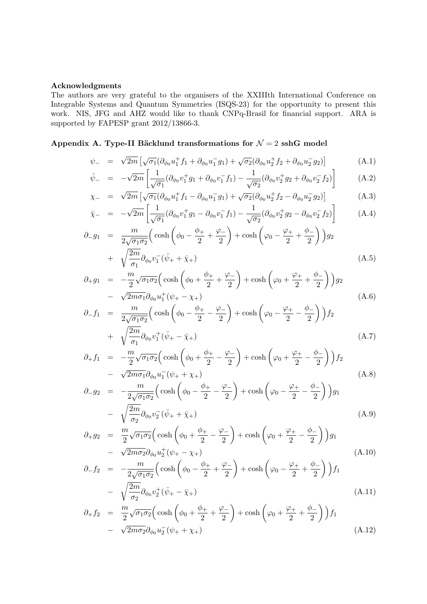## Acknowledgments

The authors are very grateful to the organisers of the XXIIIth International Conference on Integrable Systems and Quantum Symmetries (ISQS-23) for the opportunity to present this work. NIS, JFG and AHZ would like to thank CNPq-Brasil for financial support. ARA is supported by FAPESP grant 2012/13866-3.

## Appendix A. Type-II Bäcklund transformations for  $\mathcal{N}=2$  sshG model

$$
\psi_{-} = \sqrt{2m} \left[ \sqrt{\sigma_1} (\partial_{\phi_0} u_1^{\dagger} f_1 + \partial_{\phi_0} u_1^{-} g_1) + \sqrt{\sigma_2} (\partial_{\phi_0} u_2^{\dagger} f_2 + \partial_{\phi_0} u_2^{-} g_2) \right]
$$
(A.1)

$$
\bar{\psi}_{-} = -\sqrt{2m} \left[ \frac{1}{\sqrt{\sigma_1}} (\partial_{\phi_0} v_1^{\dagger} g_1 + \partial_{\phi_0} v_1^{\dagger} f_1) - \frac{1}{\sqrt{\sigma_2}} (\partial_{\phi_0} v_2^{\dagger} g_2 + \partial_{\phi_0} v_2^{\dagger} f_2) \right]
$$
(A.2)

$$
\chi_{-} = \sqrt{2m} \left[ \sqrt{\sigma_{1}} (\partial_{\phi_{0}} u_{1}^{+} f_{1} - \partial_{\phi_{0}} u_{1}^{-} g_{1}) + \sqrt{\sigma_{2}} (\partial_{\phi_{0}} u_{2}^{+} f_{2} - \partial_{\phi_{0}} u_{2}^{-} g_{2}) \right]
$$
(A.3)

$$
\bar{\chi}_{-} = -\sqrt{2m} \left[ \frac{1}{\sqrt{\sigma_{1}}} (\partial_{\phi_{0}} v_{1}^{+} g_{1} - \partial_{\phi_{0}} v_{1}^{-} f_{1}) - \frac{1}{\sqrt{\sigma_{2}}} (\partial_{\phi_{0}} v_{2}^{+} g_{2} - \partial_{\phi_{0}} v_{2}^{-} f_{2}) \right]
$$
(A.4)

$$
\partial_{-}g_{1} = \frac{m}{2\sqrt{\sigma_{1}\sigma_{2}}} \left( \cosh\left(\phi_{0} - \frac{\phi_{+}}{2} + \frac{\varphi_{-}}{2}\right) + \cosh\left(\varphi_{0} - \frac{\varphi_{+}}{2} + \frac{\phi_{-}}{2}\right) \right) g_{2} + \sqrt{\frac{2m}{\sigma_{1}}}\partial_{\phi_{0}}v_{1}^{-}(\bar{\psi}_{+} + \bar{\chi}_{+})
$$
\n(A.5)

$$
\partial_{+}g_{1} = -\frac{m}{2}\sqrt{\sigma_{1}\sigma_{2}}\left(\cosh\left(\phi_{0} + \frac{\phi_{+}}{2} + \frac{\varphi_{-}}{2}\right) + \cosh\left(\varphi_{0} + \frac{\varphi_{+}}{2} + \frac{\phi_{-}}{2}\right)\right)g_{2}
$$

$$
-\sqrt{2m\sigma_{1}}\partial_{\phi_{0}}u_{1}^{+}(\psi_{+} - \chi_{+})
$$
(A.6)

$$
\partial_{-} f_{1} = \frac{m}{2\sqrt{\sigma_{1}\sigma_{2}}} \left( \cosh\left(\phi_{0} - \frac{\phi_{+}}{2} - \frac{\varphi_{-}}{2}\right) + \cosh\left(\varphi_{0} - \frac{\varphi_{+}}{2} - \frac{\phi_{-}}{2}\right) \right) f_{2} \n+ \sqrt{\frac{2m}{\sigma_{1}}} \partial_{\phi_{0}} v_{1}^{+} (\bar{\psi}_{+} - \bar{\chi}_{+})
$$
\n(A.7)

$$
\partial_{+} f_{1} = -\frac{m}{2} \sqrt{\sigma_{1} \sigma_{2}} \left( \cosh \left( \phi_{0} + \frac{\phi_{+}}{2} - \frac{\varphi_{-}}{2} \right) + \cosh \left( \varphi_{0} + \frac{\varphi_{+}}{2} - \frac{\phi_{-}}{2} \right) \right) f_{2}
$$

$$
- \sqrt{2m \sigma_{1}} \partial_{\phi_{0}} u_{1}^{-} (\psi_{+} + \chi_{+}) \tag{A.8}
$$

$$
\partial_{-}g_{2} = -\frac{m}{2\sqrt{\sigma_{1}\sigma_{2}}} \left( \cosh\left(\phi_{0} - \frac{\phi_{+}}{2} - \frac{\varphi_{-}}{2}\right) + \cosh\left(\varphi_{0} - \frac{\varphi_{+}}{2} - \frac{\phi_{-}}{2}\right) \right) g_{1}
$$

$$
- \sqrt{\frac{2m}{\sigma_{2}}} \partial_{\phi_{0}} v_{2}^{-} (\bar{\psi}_{+} + \bar{\chi}_{+}) \tag{A.9}
$$

$$
\partial_{+}g_{2} = \frac{m}{2}\sqrt{\sigma_{1}\sigma_{2}}\left(\cosh\left(\phi_{0} + \frac{\phi_{+}}{2} - \frac{\varphi_{-}}{2}\right) + \cosh\left(\varphi_{0} + \frac{\varphi_{+}}{2} - \frac{\phi_{-}}{2}\right)\right)g_{1}
$$
  
-  $\sqrt{2m\sigma_{2}}\partial_{\phi_{0}}u_{2}^{+}(\psi_{+} - \chi_{+})$  (A.10)

$$
\partial_{-} f_{2} = -\frac{m}{2\sqrt{\sigma_{1}\sigma_{2}}} \left( \cosh\left(\phi_{0} - \frac{\phi_{+}}{2} + \frac{\varphi_{-}}{2}\right) + \cosh\left(\varphi_{0} - \frac{\varphi_{+}}{2} + \frac{\phi_{-}}{2}\right) \right) f_{1}
$$

$$
- \sqrt{\frac{2m}{\sigma_{2}}} \partial_{\phi_{0}} v_{2}^{+} (\bar{\psi}_{+} - \bar{\chi}_{+}) \tag{A.11}
$$

$$
\partial_{+} f_{2} = \frac{m}{2} \sqrt{\sigma_{1} \sigma_{2}} \left( \cosh \left( \phi_{0} + \frac{\phi_{+}}{2} + \frac{\varphi_{-}}{2} \right) + \cosh \left( \varphi_{0} + \frac{\varphi_{+}}{2} + \frac{\phi_{-}}{2} \right) \right) f_{1}
$$

$$
- \sqrt{2m \sigma_{2}} \partial_{\phi_{0}} u_{2}^{-} (\psi_{+} + \chi_{+}) \tag{A.12}
$$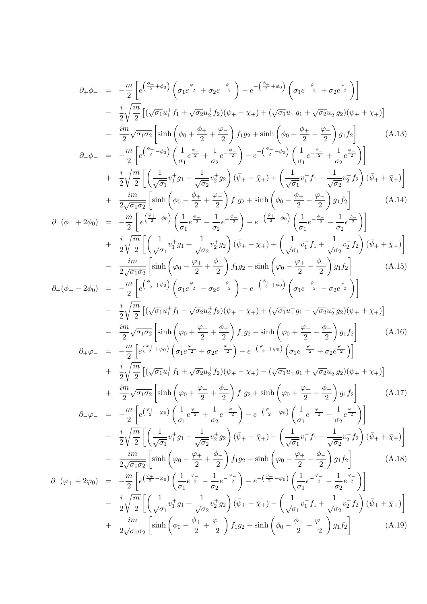$$
\partial_{+}\phi_{-} = -\frac{m}{2}\left[e^{\left(\frac{a_{+}}{2}+\phi_{0}\right)}\left(\sigma_{1}e^{\frac{\phi_{-}}{2}} + \sigma_{2}e^{-\frac{\phi_{-}}{2}}\right) - e^{-\left(\frac{a_{+}}{2}+\phi_{0}\right)}\left(\sigma_{1}e^{-\frac{\phi_{-}}{2}} + \sigma_{2}e^{\frac{\phi_{-}}{2}}\right)\right]
$$
\n
$$
-\frac{i}{2}\sqrt{\frac{m}{2}}\left[\left(\sqrt{\sigma_{1}}u_{1}^{+}f_{1} + \sqrt{\sigma_{2}}u_{2}^{+}f_{2}\right)\left(\psi_{+} - \chi_{+}\right) + \left(\sqrt{\sigma_{1}}u_{1}^{-}g_{1} + \sqrt{\sigma_{2}}u_{2}^{-}g_{2}\right)\left(\psi_{+} + \chi_{+}\right)\right]
$$
\n
$$
-\frac{im}{2}\sqrt{\sigma_{1}}\sigma_{2}\left[\sinh\left(\phi_{0} + \frac{\phi_{+}}{2} + \frac{\phi_{-}}{2}\right)f_{1}g_{2} + \sinh\left(\phi_{0} + \frac{\phi_{+}}{2} - \frac{\phi_{-}}{2}\right)g_{1}f_{2}\right] \qquad (A.13)
$$
\n
$$
\partial_{-}\phi_{-} = -\frac{m}{2}\left[e^{\left(\frac{\phi_{+}}{2}+\phi_{0}\right)}\left(\frac{1}{\sigma_{1}}e^{\frac{\phi_{-}}{2}} + \frac{1}{\sigma_{2}}e^{-\frac{\phi_{-}}{2}}\right) - e^{-\left(\frac{\phi_{+}}{2}+\phi_{0}\right)}\left(\frac{1}{\sigma_{1}}e^{-\frac{\phi_{-}}{2}} + \frac{1}{\sigma_{2}}e^{\frac{\phi_{-}}{2}}\right)\right]\right]
$$
\n
$$
+\frac{i}{2}\sqrt{\frac{m}{2}}\left[\left(\frac{1}{\sqrt{m}}v_{1}^{+}g_{1} - \frac{1}{\sqrt{\sigma_{2}}}v_{2}^{+}g_{2}\right)(\bar{\psi}_{+} - \bar{\chi}_{+}) + \left(\frac{1}{\sqrt{\sigma_{1}}}v_{1}^{-}f_{1} - \frac{1}{\sqrt{\sigma_{2}}}v_{2}^{-}f_{2}\right)(\bar{\psi}_{+} + \bar{\chi}_{+})\right]
$$
\n
$$
\partial_{-}(\phi_{+} + 2\phi_{0})
$$